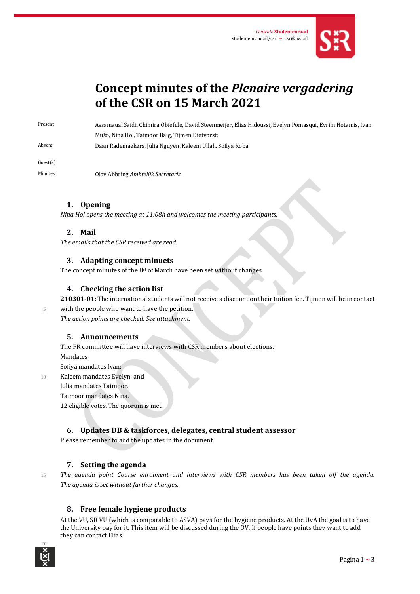

# **Concept minutes of the** *Plenaire vergadering* **of the CSR on 15 March 2021**

Present Assamaual Saidi, Chimira Obiefule, David Steenmeijer, Elias Hidoussi, Evelyn Pomasqui, Evrim Hotamis, Ivan Mušo, Nina Hol, Taimoor Baig, Tijmen Dietvorst;

Absent Daan Rademaekers, Julia Nguyen, Kaleem Ullah, Sofiya Koba;

Guest(s)

Minutes Olav Abbring *Ambtelijk Secretaris*.

# **1. Opening**

*Nina Hol opens the meeting at 11:08h and welcomes the meeting participants.* 

# **2. Mail**

*The emails that the CSR received are read.*

### **3. Adapting concept minuets**

The concept minutes of the 8<sup>st</sup> of March have been set without changes.

### **4. Checking the action list**

**210301-01:** The international students will not receive a discount on their tuition fee. Tijmen will be in contact

5 with the people who want to have the petition. *The action points are checked. See attachment.*

### **5. Announcements**

The PR committee will have interviews with CSR members about elections.

Mandates

Sofiya mandates Ivan;

10 Kaleem mandates Evelyn; and

Julia mandates Taimoor.

### Taimoor mandates Nina.

12 eligible votes. The quorum is met.

# **6. Updates DB & taskforces, delegates, central student assessor**

Please remember to add the updates in the document.

# **7. Setting the agenda**

<sup>15</sup> *The agenda point Course enrolment and interviews with CSR members has been taken off the agenda. The agenda is set without further changes.*

# **8. Free female hygiene products**

At the VU, SR VU (which is comparable to ASVA) pays for the hygiene products. At the UvA the goal is to have the University pay for it. This item will be discussed during the OV. If people have points they want to add they can contact Elias.

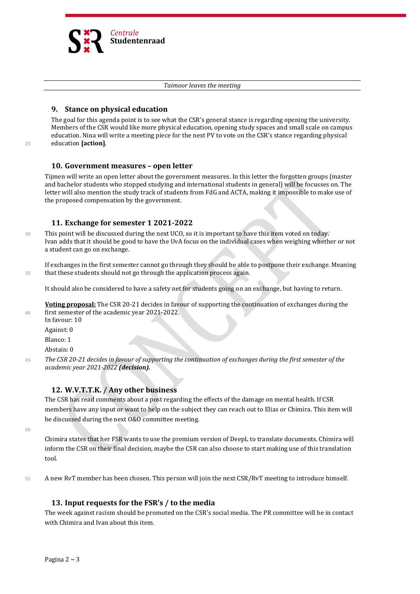

#### *Taimoor leaves the meeting*

### **9. Stance on physical education**

The goal for this agenda point is to see what the CSR's general stance is regarding opening the university. Members of the CSR would like more physical education, opening study spaces and small scale on campus education. Nina will write a meeting piece for the next PV to vote on the CSR's stance regarding physical <sup>25</sup> education **[action]**.

### **10. Government measures – open letter**

Tijmen will write an open letter about the government measures. In this letter the forgotten groups (master and bachelor students who stopped studying and international students in general) will be focusses on. The letter will also mention the study track of students from FdG and ACTA, making it impossible to make use of the proposed compensation by the government.

### **11. Exchange for semester 1 2021-2022**

30 This point will be discussed during the next UCO, so it is important to have this item voted on today. Ivan adds that it should be good to have the UvA focus on the individual cases when weighing whether or not a student can go on exchange.

If exchanges in the first semester cannot go through they should be able to postpone their exchange. Meaning 35 that these students should not go through the application process again.

It should also be considered to have a safety net for students going on an exchange, but having to return.

**Voting proposal:** The CSR 20-21 decides in favour of supporting the continuation of exchanges during the 40 first semester of the academic year 2021-2022.

In favour: 10

Against: 0

Blanco: 1

Abstain: 0

<sup>45</sup> *The CSR 20-21 decides in favour of supporting the continuation of exchanges during the first semester of the academic year 2021-2022 (decision).*

### **12. W.V.T.T.K. / Any other business**

The CSR has read comments about a post regarding the effects of the damage on mental health. If CSR members have any input or want to help on the subject they can reach out to Elias or Chimira. This item will be discussed during the next O&O committee meeting.

50

Chimira states that her FSR wants to use the premium version of DeepL to translate documents. Chimira will inform the CSR on their final decision, maybe the CSR can also choose to start making use of this translation tool.

55 A new RvT member has been chosen. This person will join the next CSR/RvT meeting to introduce himself.

### **13. Input requests for the FSR's / to the media**

The week against racism should be promoted on the CSR's social media. The PR committee will be in contact with Chimira and Ivan about this item.